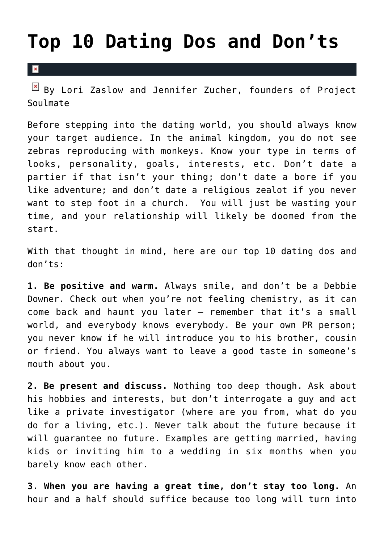## **[Top 10 Dating Dos and Don'ts](https://cupidspulse.com/40890/lori-zaslow-jennifer-zucher-dating-advice/)**

 $\mathbf{R}$ 

 $\boxed{\times}$  By Lori Zaslow and Jennifer Zucher, founders of Project Soulmate

Before stepping into the dating world, you should always know your target audience. In the animal kingdom, you do not see zebras reproducing with monkeys. Know your type in terms of looks, personality, goals, interests, etc. Don't date a partier if that isn't your thing; don't date a bore if you like adventure; and don't date a religious zealot if you never want to step foot in a church. You will just be wasting your time, and your relationship will likely be doomed from the start.

With that thought in mind, here are our top 10 dating dos and don'ts:

**1. Be positive and warm.** Always smile, and don't be a Debbie Downer. Check out when you're not feeling chemistry, as it can come back and haunt you later — remember that it's a small world, and everybody knows everybody. Be your own PR person; you never know if he will introduce you to his brother, cousin or friend. You always want to leave a good taste in someone's mouth about you.

**2. Be present and discuss.** Nothing too deep though. Ask about his hobbies and interests, but don't interrogate a guy and act like a private investigator (where are you from, what do you do for a living, etc.). Never talk about the future because it will guarantee no future. Examples are getting married, having kids or inviting him to a wedding in six months when you barely know each other.

**3. When you are having a great time, don't stay too long.** An hour and a half should suffice because too long will turn into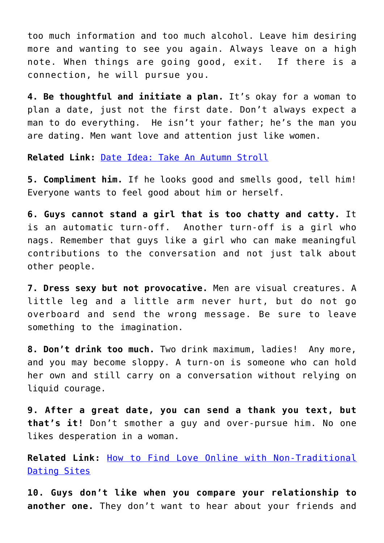too much information and too much alcohol. Leave him desiring more and wanting to see you again. Always leave on a high note. When things are going good, exit. If there is a connection, he will pursue you.

**4. Be thoughtful and initiate a plan.** It's okay for a woman to plan a date, just not the first date. Don't always expect a man to do everything. He isn't your father; he's the man you are dating. Men want love and attention just like women.

**Related Link:** [Date Idea: Take An Autumn Stroll](http://cupidspulse.com/weekend-date-idea-autumn-stroll-hike-park-walk/)

**5. Compliment him.** If he looks good and smells good, tell him! Everyone wants to feel good about him or herself.

**6. Guys cannot stand a girl that is too chatty and catty.** It is an automatic turn-off. Another turn-off is a girl who nags. Remember that guys like a girl who can make meaningful contributions to the conversation and not just talk about other people.

**7. Dress sexy but not provocative.** Men are visual creatures. A little leg and a little arm never hurt, but do not go overboard and send the wrong message. Be sure to leave something to the imagination.

**8. Don't drink too much.** Two drink maximum, ladies! Any more, and you may become sloppy. A turn-on is someone who can hold her own and still carry on a conversation without relying on liquid courage.

**9. After a great date, you can send a thank you text, but that's it!** Don't smother a guy and over-pursue him. No one likes desperation in a woman.

**Related Link:** [How to Find Love Online with Non-Traditional](http://cupidspulse.com/how-to-find-love-online-with-non-traditional-dating-sites/) [Dating Sites](http://cupidspulse.com/how-to-find-love-online-with-non-traditional-dating-sites/)

**10. Guys don't like when you compare your relationship to another one.** They don't want to hear about your friends and